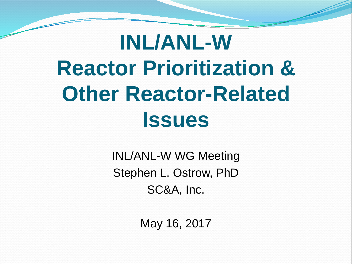### **INL/ANL-W Reactor Prioritization & Other Reactor-Related Issues**

INL/ANL-W WG Meeting Stephen L. Ostrow, PhD SC&A, Inc.

May 16, 2017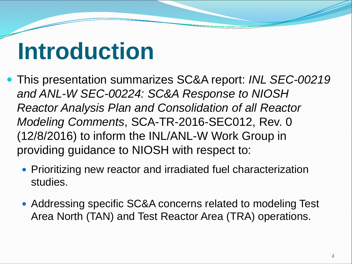### **Introduction**

- This presentation summarizes SC&A report: *INL SEC-00219 and ANL-W SEC-00224: SC&A Response to NIOSH Reactor Analysis Plan and Consolidation of all Reactor Modeling Comments*, SCA-TR-2016-SEC012, Rev. 0 (12/8/2016) to inform the INL/ANL-W Work Group in providing guidance to NIOSH with respect to:
	- Prioritizing new reactor and irradiated fuel characterization studies.
	- Addressing specific SC&A concerns related to modeling Test Area North (TAN) and Test Reactor Area (TRA) operations.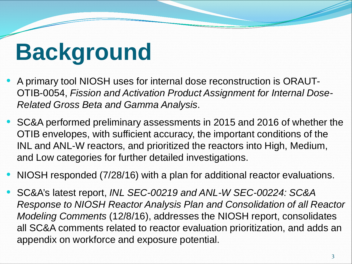### **Background**

- A primary tool NIOSH uses for internal dose reconstruction is ORAUT-OTIB-0054, *Fission and Activation Product Assignment for Internal Dose-Related Gross Beta and Gamma Analysis*.
- SC&A performed preliminary assessments in 2015 and 2016 of whether the OTIB envelopes, with sufficient accuracy, the important conditions of the INL and ANL-W reactors, and prioritized the reactors into High, Medium, and Low categories for further detailed investigations.
- NIOSH responded (7/28/16) with a plan for additional reactor evaluations.
- SC&A's latest report, *INL SEC-00219 and ANL-W SEC-00224: SC&A Response to NIOSH Reactor Analysis Plan and Consolidation of all Reactor Modeling Comments* (12/8/16), addresses the NIOSH report, consolidates all SC&A comments related to reactor evaluation prioritization, and adds an appendix on workforce and exposure potential.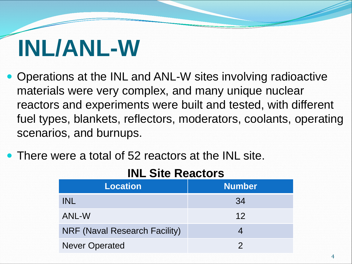### **INL/ANL-W**

- Operations at the INL and ANL-W sites involving radioactive materials were very complex, and many unique nuclear reactors and experiments were built and tested, with different fuel types, blankets, reflectors, moderators, coolants, operating scenarios, and burnups.
- There were a total of 52 reactors at the INL site.

| <b>INL SITE REACTORS</b> |               |
|--------------------------|---------------|
| Location                 | <b>Number</b> |
|                          |               |

### **INL Site Reactors**

| <b>Location</b>                      | <b>Number</b>   |
|--------------------------------------|-----------------|
| <b>INL</b>                           | 34              |
| ANL-W                                | 12 <sup>°</sup> |
| <b>NRF (Naval Research Facility)</b> |                 |
| <b>Never Operated</b>                |                 |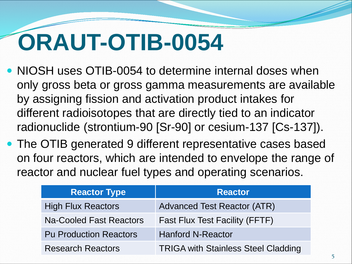### **ORAUT-OTIB-0054**

- NIOSH uses OTIB-0054 to determine internal doses when only gross beta or gross gamma measurements are available by assigning fission and activation product intakes for different radioisotopes that are directly tied to an indicator radionuclide (strontium-90 [Sr-90] or cesium-137 [Cs-137]).
- The OTIB generated 9 different representative cases based on four reactors, which are intended to envelope the range of reactor and nuclear fuel types and operating scenarios.

| <b>Reactor Type</b>            | <b>Reactor</b>                             |
|--------------------------------|--------------------------------------------|
| <b>High Flux Reactors</b>      | <b>Advanced Test Reactor (ATR)</b>         |
| <b>Na-Cooled Fast Reactors</b> | <b>Fast Flux Test Facility (FFTF)</b>      |
| <b>Pu Production Reactors</b>  | <b>Hanford N-Reactor</b>                   |
| <b>Research Reactors</b>       | <b>TRIGA with Stainless Steel Cladding</b> |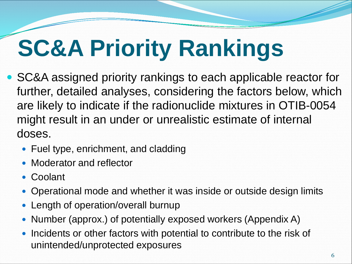# **SC&A Priority Rankings**

- SC&A assigned priority rankings to each applicable reactor for further, detailed analyses, considering the factors below, which are likely to indicate if the radionuclide mixtures in OTIB-0054 might result in an under or unrealistic estimate of internal doses.
	- Fuel type, enrichment, and cladding
	- Moderator and reflector
	- Coolant
	- Operational mode and whether it was inside or outside design limits
	- Length of operation/overall burnup
	- Number (approx.) of potentially exposed workers (Appendix A)
	- Incidents or other factors with potential to contribute to the risk of unintended/unprotected exposures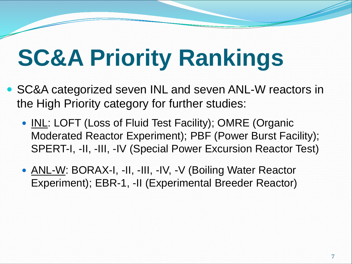## **SC&A Priority Rankings**

- SC&A categorized seven INL and seven ANL-W reactors in the High Priority category for further studies:
	- INL: LOFT (Loss of Fluid Test Facility); OMRE (Organic Moderated Reactor Experiment); PBF (Power Burst Facility); SPERT-I, -II, -III, -IV (Special Power Excursion Reactor Test)
	- ANL-W: BORAX-I, -II, -III, -IV, -V (Boiling Water Reactor Experiment); EBR-1, -II (Experimental Breeder Reactor)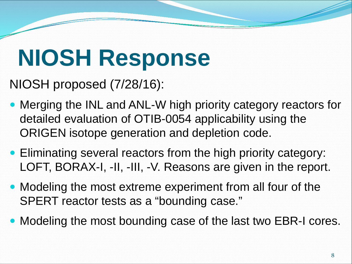### **NIOSH Response**

NIOSH proposed (7/28/16):

- Merging the INL and ANL-W high priority category reactors for detailed evaluation of OTIB-0054 applicability using the ORIGEN isotope generation and depletion code.
- Eliminating several reactors from the high priority category: LOFT, BORAX-I, -II, -III, -V. Reasons are given in the report.
- Modeling the most extreme experiment from all four of the SPERT reactor tests as a "bounding case."
- Modeling the most bounding case of the last two EBR-I cores.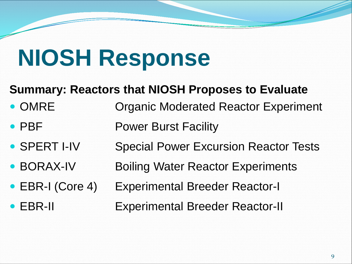### **NIOSH Response**

### **Summary: Reactors that NIOSH Proposes to Evaluate**

- OMRE Organic Moderated Reactor Experiment
- PBF Power Burst Facility
- SPERT I-IV Special Power Excursion Reactor Tests
- BORAX-IV Boiling Water Reactor Experiments
- EBR-I (Core 4) Experimental Breeder Reactor-I
- EBR-II Experimental Breeder Reactor-II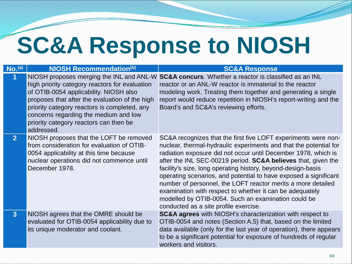### **SC&A Response to NIOSH**

| $\overline{\mathsf{No}}.^\mathrm{(a)}$ | <b>NIOSH Recommendation(b)</b>                                                                                                                                                                                                                                                                                                          | <b>SC&amp;A Response</b>                                                                                                                                                                                                                                                                                                                                                                                                                                                                                                                                                                                                                          |
|----------------------------------------|-----------------------------------------------------------------------------------------------------------------------------------------------------------------------------------------------------------------------------------------------------------------------------------------------------------------------------------------|---------------------------------------------------------------------------------------------------------------------------------------------------------------------------------------------------------------------------------------------------------------------------------------------------------------------------------------------------------------------------------------------------------------------------------------------------------------------------------------------------------------------------------------------------------------------------------------------------------------------------------------------------|
| 1                                      | NIOSH proposes merging the INL and ANL-W<br>high priority category reactors for evaluation<br>of OTIB-0054 applicability. NIOSH also<br>proposes that after the evaluation of the high<br>priority category reactors is completed, any<br>concerns regarding the medium and low<br>priority category reactors can then be<br>addressed. | SC&A concurs. Whether a reactor is classified as an INL<br>reactor or an ANL-W reactor is immaterial to the reactor<br>modeling work. Treating them together and generating a single<br>report would reduce repetition in NIOSH's report-writing and the<br>Board's and SC&A's reviewing efforts.                                                                                                                                                                                                                                                                                                                                                 |
| 2 <sup>1</sup>                         | NIOSH proposes that the LOFT be removed<br>from consideration for evaluation of OTIB-<br>0054 applicability at this time because<br>nuclear operations did not commence until<br>December 1978.                                                                                                                                         | SC&A recognizes that the first five LOFT experiments were non-<br>nuclear, thermal-hydraulic experiments and that the potential for<br>radiation exposure did not occur until December 1978, which is<br>after the INL SEC-00219 period. <b>SC&amp;A believes</b> that, given the<br>facility's size, long operating history, beyond-design-basis<br>operating scenarios, and potential to have exposed a significant<br>number of personnel, the LOFT reactor merits a more detailed<br>examination with respect to whether it can be adequately<br>modelled by OTIB-0054. Such an examination could be<br>conducted as a site profile exercise. |
| 3 <sup>1</sup>                         | NIOSH agrees that the OMRE should be<br>evaluated for OTIB-0054 applicability due to<br>its unique moderator and coolant.                                                                                                                                                                                                               | <b>SC&amp;A agrees</b> with NIOSH's characterization with respect to<br>OTIB-0054 and notes (Section A.5) that, based on the limited<br>data available (only for the last year of operation), there appears<br>to be a significant potential for exposure of hundreds of regular<br>workers and visitors.                                                                                                                                                                                                                                                                                                                                         |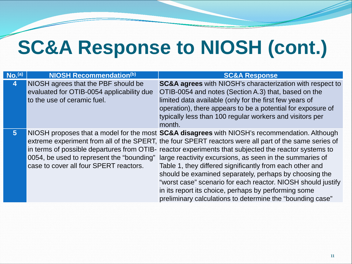### **SC&A Response to NIOSH (cont.)**

| No. <sub>(a)</sub>      | NIOSH Recommendation(b)                                                                                         | <b>SC&amp;A Response</b>                                                                                                                                                                                                                                                                                                                                                                                                                                                                                                                                                                                                                                                                                                        |
|-------------------------|-----------------------------------------------------------------------------------------------------------------|---------------------------------------------------------------------------------------------------------------------------------------------------------------------------------------------------------------------------------------------------------------------------------------------------------------------------------------------------------------------------------------------------------------------------------------------------------------------------------------------------------------------------------------------------------------------------------------------------------------------------------------------------------------------------------------------------------------------------------|
| $\overline{\mathbf{4}}$ | NIOSH agrees that the PBF should be<br>evaluated for OTIB-0054 applicability due<br>to the use of ceramic fuel. | <b>SC&amp;A agrees</b> with NIOSH's characterization with respect to<br>OTIB-0054 and notes (Section A.3) that, based on the<br>limited data available (only for the first few years of<br>operation), there appears to be a potential for exposure of<br>typically less than 100 regular workers and visitors per<br>month.                                                                                                                                                                                                                                                                                                                                                                                                    |
| 5 <sup>1</sup>          | case to cover all four SPERT reactors.                                                                          | NIOSH proposes that a model for the most SC&A disagrees with NIOSH's recommendation. Although<br>extreme experiment from all of the SPERT, the four SPERT reactors were all part of the same series of<br>in terms of possible departures from OTIB- reactor experiments that subjected the reactor systems to<br>0054, be used to represent the "bounding" large reactivity excursions, as seen in the summaries of<br>Table 1, they differed significantly from each other and<br>should be examined separately, perhaps by choosing the<br>"worst case" scenario for each reactor. NIOSH should justify<br>in its report its choice, perhaps by performing some<br>preliminary calculations to determine the "bounding case" |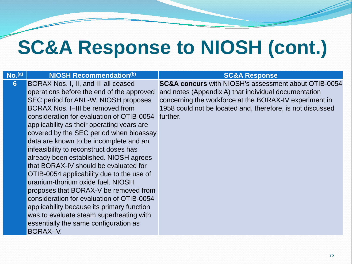### **SC&A Response to NIOSH (cont.)**

### **No.**<sup>(a)</sup> **NIOSH Recommendation**<sup>(b)</sup> **NIOSH Recommendation**<sup>(b)</sup> **SC&A Response**

**6** BORAX Nos. I, II, and III all ceased operations before the end of the approved SEC period for ANL-W. NIOSH proposes BORAX Nos. I–III be removed from consideration for evaluation of OTIB-0054 applicability as their operating years are covered by the SEC period when bioassay data are known to be incomplete and an infeasibility to reconstruct doses has already been established. NIOSH agrees that BORAX-IV should be evaluated for OTIB-0054 applicability due to the use of uranium-thorium oxide fuel. NIOSH proposes that BORAX-V be removed from consideration for evaluation of OTIB-0054 applicability because its primary function was to evaluate steam superheating with essentially the same configuration as BORAX-IV.

**SC&A concurs** with NIOSH's assessment about OTIB-0054 and notes (Appendix A) that individual documentation concerning the workforce at the BORAX-IV experiment in 1958 could not be located and, therefore, is not discussed further.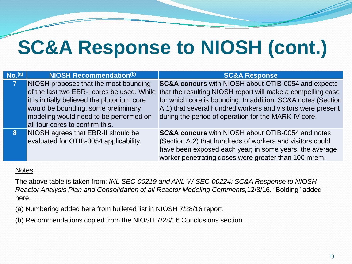### **SC&A Response to NIOSH (cont.)**

| No. <sup>(a)</sup> | NIOSH Recommendation(b)                                                                                                                                                                                  | <b>SC&amp;A Response</b>                                                                                                                                                                                                                                                                                                                                        |
|--------------------|----------------------------------------------------------------------------------------------------------------------------------------------------------------------------------------------------------|-----------------------------------------------------------------------------------------------------------------------------------------------------------------------------------------------------------------------------------------------------------------------------------------------------------------------------------------------------------------|
|                    | NIOSH proposes that the most bounding<br>it is initially believed the plutonium core<br>would be bounding, some preliminary<br>modeling would need to be performed on<br>all four cores to confirm this. | <b>SC&amp;A concurs</b> with NIOSH about OTIB-0054 and expects<br>of the last two EBR-I cores be used. While that the resulting NIOSH report will make a compelling case<br>for which core is bounding. In addition, SC&A notes (Section<br>A.1) that several hundred workers and visitors were present<br>during the period of operation for the MARK IV core. |
| <b>8</b>           | NIOSH agrees that EBR-II should be<br>evaluated for OTIB-0054 applicability.                                                                                                                             | <b>SC&amp;A concurs</b> with NIOSH about OTIB-0054 and notes<br>(Section A.2) that hundreds of workers and visitors could<br>have been exposed each year; in some years, the average<br>worker penetrating doses were greater than 100 mrem.                                                                                                                    |

### Notes:

The above table is taken from: *INL SEC-00219 and ANL-W SEC-00224: SC&A Response to NIOSH Reactor Analysis Plan and Consolidation of all Reactor Modeling Comments,*12/8/16. "Bolding" added here.

(a) Numbering added here from bulleted list in NIOSH 7/28/16 report.

(b) Recommendations copied from the NIOSH 7/28/16 Conclusions section.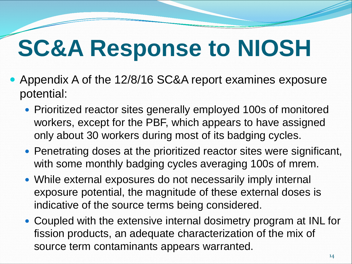### **SC&A Response to NIOSH**

- Appendix A of the 12/8/16 SC&A report examines exposure potential:
	- Prioritized reactor sites generally employed 100s of monitored workers, except for the PBF, which appears to have assigned only about 30 workers during most of its badging cycles.
	- Penetrating doses at the prioritized reactor sites were significant, with some monthly badging cycles averaging 100s of mrem.
	- While external exposures do not necessarily imply internal exposure potential, the magnitude of these external doses is indicative of the source terms being considered.
	- Coupled with the extensive internal dosimetry program at INL for fission products, an adequate characterization of the mix of source term contaminants appears warranted.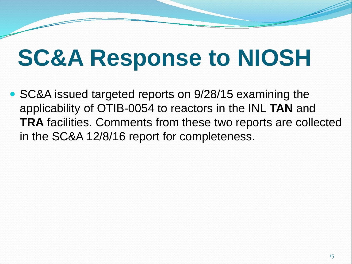### **SC&A Response to NIOSH**

• SC&A issued targeted reports on 9/28/15 examining the applicability of OTIB-0054 to reactors in the INL **TAN** and **TRA** facilities. Comments from these two reports are collected in the SC&A 12/8/16 report for completeness.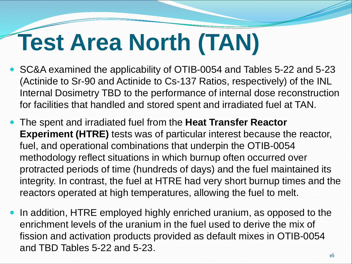- SC&A examined the applicability of OTIB-0054 and Tables 5-22 and 5-23 (Actinide to Sr-90 and Actinide to Cs-137 Ratios, respectively) of the INL Internal Dosimetry TBD to the performance of internal dose reconstruction for facilities that handled and stored spent and irradiated fuel at TAN.
- The spent and irradiated fuel from the **Heat Transfer Reactor Experiment (HTRE)** tests was of particular interest because the reactor, fuel, and operational combinations that underpin the OTIB-0054 methodology reflect situations in which burnup often occurred over protracted periods of time (hundreds of days) and the fuel maintained its integrity. In contrast, the fuel at HTRE had very short burnup times and the reactors operated at high temperatures, allowing the fuel to melt.
- In addition, HTRE employed highly enriched uranium, as opposed to the enrichment levels of the uranium in the fuel used to derive the mix of fission and activation products provided as default mixes in OTIB-0054 and TBD Tables 5-22 and 5-23.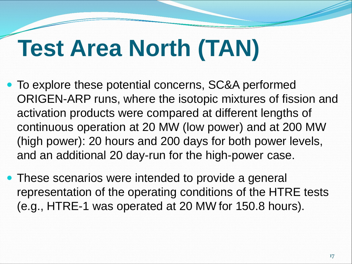- To explore these potential concerns, SC&A performed ORIGEN-ARP runs, where the isotopic mixtures of fission and activation products were compared at different lengths of continuous operation at 20 MW (low power) and at 200 MW (high power): 20 hours and 200 days for both power levels, and an additional 20 day-run for the high-power case.
- These scenarios were intended to provide a general representation of the operating conditions of the HTRE tests (e.g., HTRE-1 was operated at 20 MW for 150.8 hours).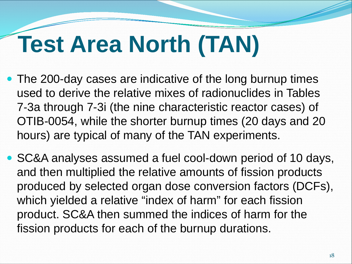- The 200-day cases are indicative of the long burnup times used to derive the relative mixes of radionuclides in Tables 7‐3a through 7-3i (the nine characteristic reactor cases) of OTIB-0054, while the shorter burnup times (20 days and 20 hours) are typical of many of the TAN experiments.
- SC&A analyses assumed a fuel cool-down period of 10 days, and then multiplied the relative amounts of fission products produced by selected organ dose conversion factors (DCFs), which yielded a relative "index of harm" for each fission product. SC&A then summed the indices of harm for the fission products for each of the burnup durations.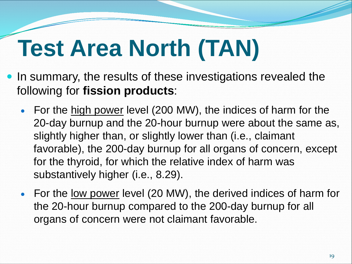- In summary, the results of these investigations revealed the following for **fission products**:
	- For the high power level (200 MW), the indices of harm for the 20-day burnup and the 20-hour burnup were about the same as, slightly higher than, or slightly lower than (i.e., claimant favorable), the 200-day burnup for all organs of concern, except for the thyroid, for which the relative index of harm was substantively higher (i.e., 8.29).
	- For the <u>low power</u> level (20 MW), the derived indices of harm for the 20-hour burnup compared to the 200-day burnup for all organs of concern were not claimant favorable.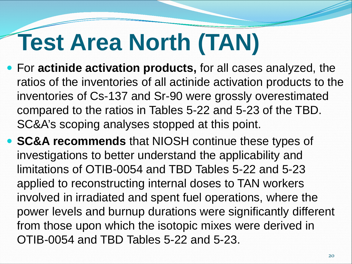- For **actinide activation products,** for all cases analyzed, the ratios of the inventories of all actinide activation products to the inventories of Cs-137 and Sr-90 were grossly overestimated compared to the ratios in Tables 5-22 and 5-23 of the TBD. SC&A's scoping analyses stopped at this point.
- **SC&A recommends** that NIOSH continue these types of investigations to better understand the applicability and limitations of OTIB-0054 and TBD Tables 5-22 and 5-23 applied to reconstructing internal doses to TAN workers involved in irradiated and spent fuel operations, where the power levels and burnup durations were significantly different from those upon which the isotopic mixes were derived in OTIB-0054 and TBD Tables 5-22 and 5-23.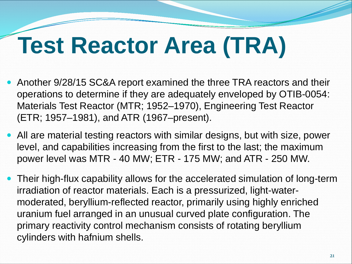## **Test Reactor Area (TRA)**

- Another 9/28/15 SC&A report examined the three TRA reactors and their operations to determine if they are adequately enveloped by OTIB-0054: Materials Test Reactor (MTR; 1952–1970), Engineering Test Reactor (ETR; 1957–1981), and ATR (1967–present).
- All are material testing reactors with similar designs, but with size, power level, and capabilities increasing from the first to the last; the maximum power level was MTR - 40 MW; ETR - 175 MW; and ATR - 250 MW.
- Their high-flux capability allows for the accelerated simulation of long-term irradiation of reactor materials. Each is a pressurized, light-watermoderated, beryllium-reflected reactor, primarily using highly enriched uranium fuel arranged in an unusual curved plate configuration. The primary reactivity control mechanism consists of rotating beryllium cylinders with hafnium shells.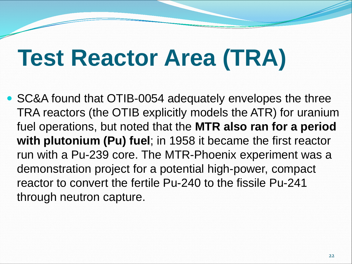### **Test Reactor Area (TRA)**

 SC&A found that OTIB-0054 adequately envelopes the three TRA reactors (the OTIB explicitly models the ATR) for uranium fuel operations, but noted that the **MTR also ran for a period with plutonium (Pu) fuel**; in 1958 it became the first reactor run with a Pu-239 core. The MTR-Phoenix experiment was a demonstration project for a potential high-power, compact reactor to convert the fertile Pu-240 to the fissile Pu-241 through neutron capture.